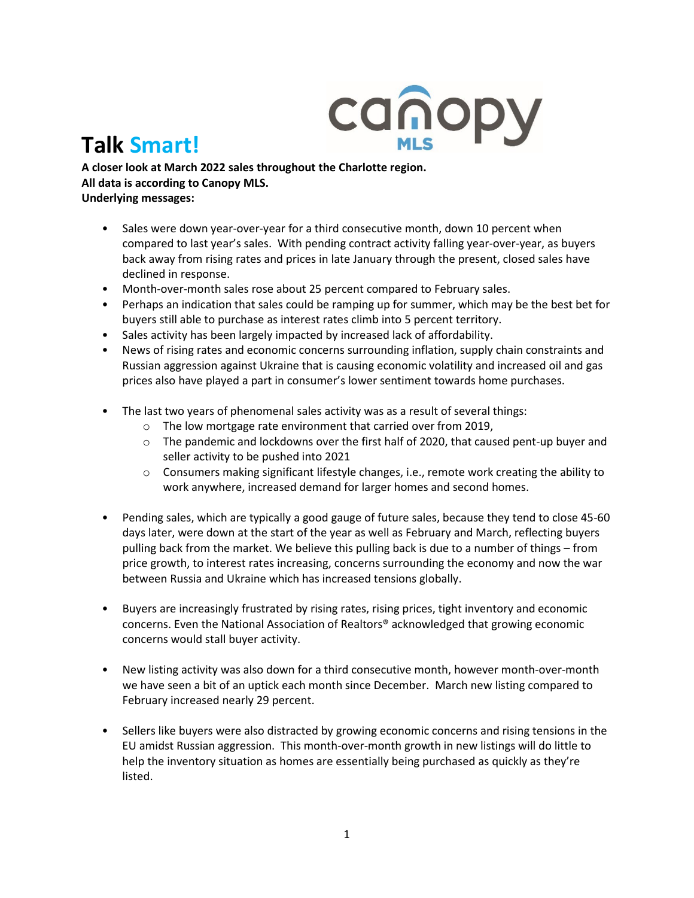

## **Talk Smart!**

**A closer look at March 2022 sales throughout the Charlotte region. All data is according to Canopy MLS. Underlying messages:** 

- Sales were down year-over-year for a third consecutive month, down 10 percent when compared to last year's sales. With pending contract activity falling year-over-year, as buyers back away from rising rates and prices in late January through the present, closed sales have declined in response.
- Month-over-month sales rose about 25 percent compared to February sales.
- Perhaps an indication that sales could be ramping up for summer, which may be the best bet for buyers still able to purchase as interest rates climb into 5 percent territory.
- Sales activity has been largely impacted by increased lack of affordability.
- News of rising rates and economic concerns surrounding inflation, supply chain constraints and Russian aggression against Ukraine that is causing economic volatility and increased oil and gas prices also have played a part in consumer's lower sentiment towards home purchases.
- The last two years of phenomenal sales activity was as a result of several things:
	- o The low mortgage rate environment that carried over from 2019,
	- $\circ$  The pandemic and lockdowns over the first half of 2020, that caused pent-up buyer and seller activity to be pushed into 2021
	- $\circ$  Consumers making significant lifestyle changes, i.e., remote work creating the ability to work anywhere, increased demand for larger homes and second homes.
- Pending sales, which are typically a good gauge of future sales, because they tend to close 45-60 days later, were down at the start of the year as well as February and March, reflecting buyers pulling back from the market. We believe this pulling back is due to a number of things – from price growth, to interest rates increasing, concerns surrounding the economy and now the war between Russia and Ukraine which has increased tensions globally.
- Buyers are increasingly frustrated by rising rates, rising prices, tight inventory and economic concerns. Even the National Association of Realtors® acknowledged that growing economic concerns would stall buyer activity.
- New listing activity was also down for a third consecutive month, however month-over-month we have seen a bit of an uptick each month since December. March new listing compared to February increased nearly 29 percent.
- Sellers like buyers were also distracted by growing economic concerns and rising tensions in the EU amidst Russian aggression. This month-over-month growth in new listings will do little to help the inventory situation as homes are essentially being purchased as quickly as they're listed.